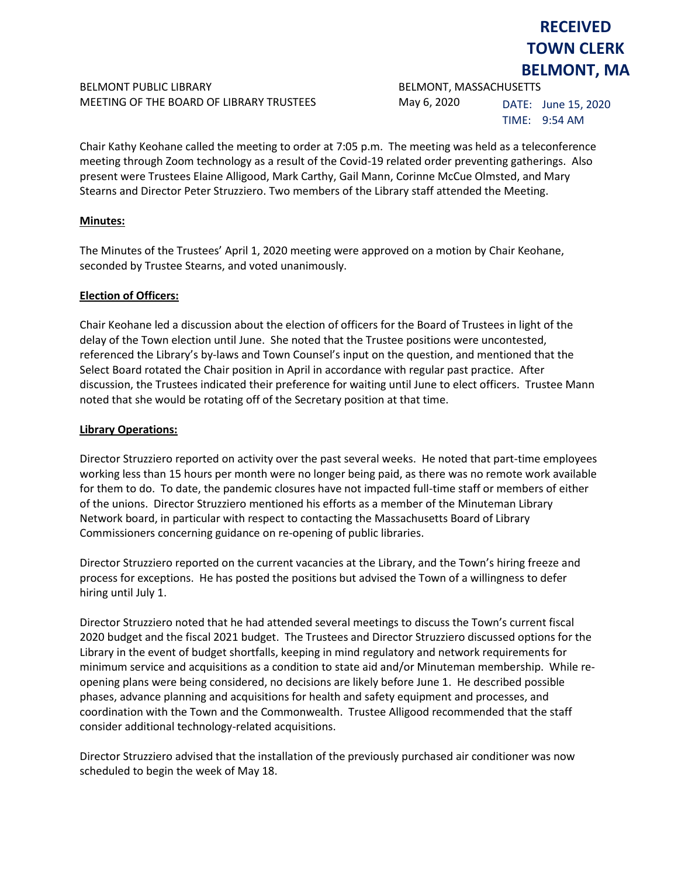## BELMONT PUBLIC LIBRARY **BELMONT, MASSACHUSETTS** MEETING OF THE BOARD OF LIBRARY TRUSTEES May 6, 2020

DATE: June 15, 2020

TIME: 9:54 AM

**RECEIVED TOWN CLERK BELMONT, MA**

Chair Kathy Keohane called the meeting to order at 7:05 p.m. The meeting was held as a teleconference meeting through Zoom technology as a result of the Covid-19 related order preventing gatherings. Also present were Trustees Elaine Alligood, Mark Carthy, Gail Mann, Corinne McCue Olmsted, and Mary Stearns and Director Peter Struzziero. Two members of the Library staff attended the Meeting.

### **Minutes:**

The Minutes of the Trustees' April 1, 2020 meeting were approved on a motion by Chair Keohane, seconded by Trustee Stearns, and voted unanimously.

#### **Election of Officers:**

Chair Keohane led a discussion about the election of officers for the Board of Trustees in light of the delay of the Town election until June. She noted that the Trustee positions were uncontested, referenced the Library's by-laws and Town Counsel's input on the question, and mentioned that the Select Board rotated the Chair position in April in accordance with regular past practice. After discussion, the Trustees indicated their preference for waiting until June to elect officers. Trustee Mann noted that she would be rotating off of the Secretary position at that time.

#### **Library Operations:**

Director Struzziero reported on activity over the past several weeks. He noted that part-time employees working less than 15 hours per month were no longer being paid, as there was no remote work available for them to do. To date, the pandemic closures have not impacted full-time staff or members of either of the unions. Director Struzziero mentioned his efforts as a member of the Minuteman Library Network board, in particular with respect to contacting the Massachusetts Board of Library Commissioners concerning guidance on re-opening of public libraries.

Director Struzziero reported on the current vacancies at the Library, and the Town's hiring freeze and process for exceptions. He has posted the positions but advised the Town of a willingness to defer hiring until July 1.

Director Struzziero noted that he had attended several meetings to discuss the Town's current fiscal 2020 budget and the fiscal 2021 budget. The Trustees and Director Struzziero discussed options for the Library in the event of budget shortfalls, keeping in mind regulatory and network requirements for minimum service and acquisitions as a condition to state aid and/or Minuteman membership. While reopening plans were being considered, no decisions are likely before June 1. He described possible phases, advance planning and acquisitions for health and safety equipment and processes, and coordination with the Town and the Commonwealth. Trustee Alligood recommended that the staff consider additional technology-related acquisitions.

Director Struzziero advised that the installation of the previously purchased air conditioner was now scheduled to begin the week of May 18.